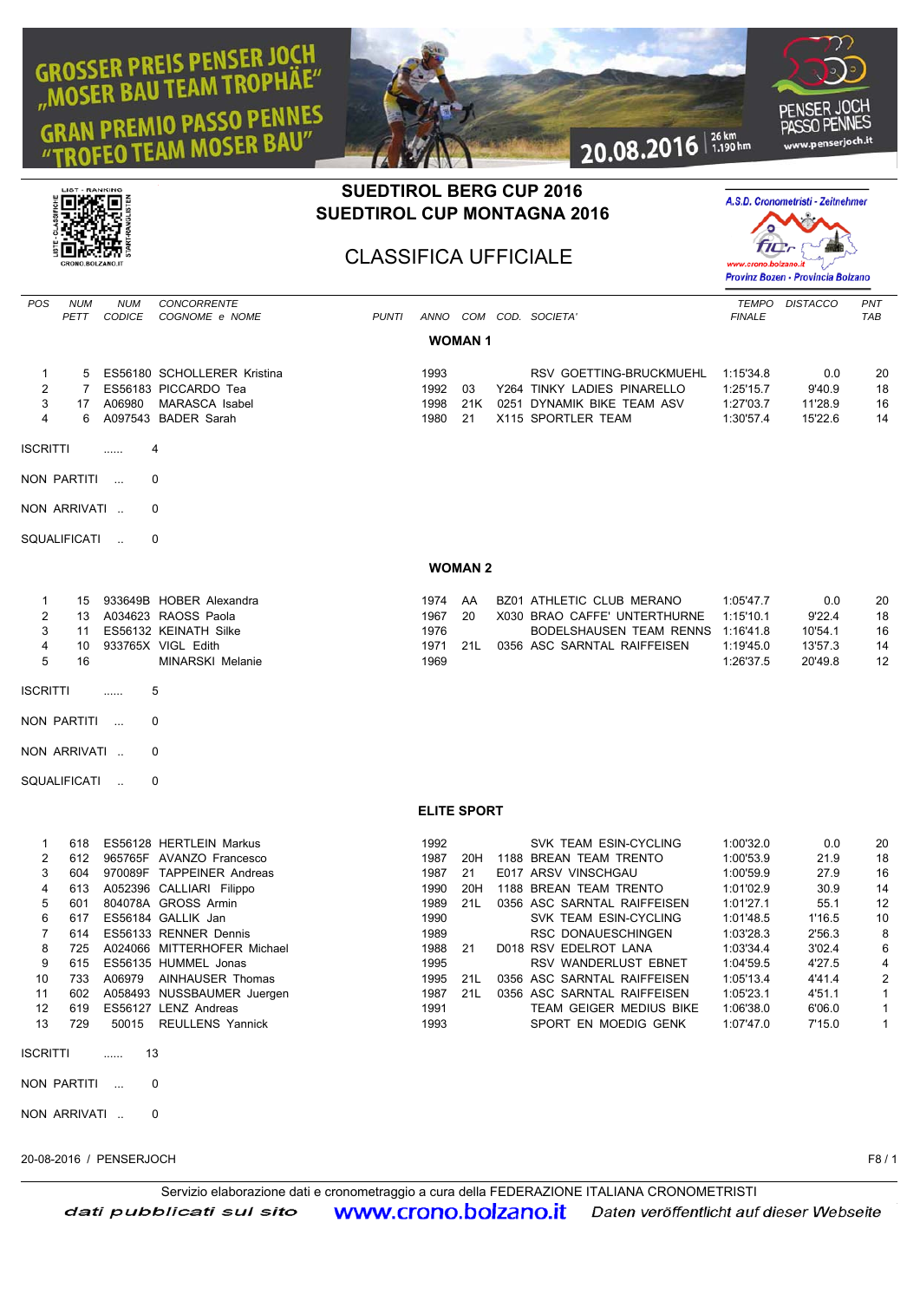## **GROSSER PREIS PENSER JOCH BAU TEAM TROPHAE" PREMIO PASSO PENNES M MOSER BAU'** G



## **SUEDTIROL BERG CUP 2016 SUEDTIROL CUP MONTAGNA 2016**

CLASSIFICA UFFICIALE



inch.it

|                                                                                |                                                                    |                             |                                                                                                                                                                                                                                                                                                                                                                  |              |                                                                                              |                               |                                                                                                                                                                                                                                                                                                                                                               |                                                                                                                                                                       | Provinz Bozen - Provincia Bolzano                                                                                   |                                                                                                      |
|--------------------------------------------------------------------------------|--------------------------------------------------------------------|-----------------------------|------------------------------------------------------------------------------------------------------------------------------------------------------------------------------------------------------------------------------------------------------------------------------------------------------------------------------------------------------------------|--------------|----------------------------------------------------------------------------------------------|-------------------------------|---------------------------------------------------------------------------------------------------------------------------------------------------------------------------------------------------------------------------------------------------------------------------------------------------------------------------------------------------------------|-----------------------------------------------------------------------------------------------------------------------------------------------------------------------|---------------------------------------------------------------------------------------------------------------------|------------------------------------------------------------------------------------------------------|
| <b>POS</b>                                                                     | <b>NUM</b><br>PETT                                                 | <b>NUM</b><br><b>CODICE</b> | <b>CONCORRENTE</b><br>COGNOME e NOME                                                                                                                                                                                                                                                                                                                             | <b>PUNTI</b> |                                                                                              |                               | ANNO COM COD. SOCIETA'                                                                                                                                                                                                                                                                                                                                        | <b>TEMPO</b><br><b>FINALE</b>                                                                                                                                         | <b>DISTACCO</b>                                                                                                     | PNT<br>TAB                                                                                           |
|                                                                                |                                                                    |                             |                                                                                                                                                                                                                                                                                                                                                                  |              |                                                                                              | <b>WOMAN1</b>                 |                                                                                                                                                                                                                                                                                                                                                               |                                                                                                                                                                       |                                                                                                                     |                                                                                                      |
| 1<br>$\overline{2}$<br>3<br>4                                                  | 5<br>$\overline{7}$<br>17<br>6                                     | A06980                      | ES56180 SCHOLLERER Kristina<br>ES56183 PICCARDO Tea<br><b>MARASCA Isabel</b><br>A097543 BADER Sarah                                                                                                                                                                                                                                                              |              | 1993<br>1992<br>1998<br>1980                                                                 | 03<br>21K<br>21               | RSV GOETTING-BRUCKMUEHL<br>Y264 TINKY LADIES PINARELLO<br>0251 DYNAMIK BIKE TEAM ASV<br>X115 SPORTLER TEAM                                                                                                                                                                                                                                                    | 1:15'34.8<br>1:25'15.7<br>1:27'03.7<br>1:30'57.4                                                                                                                      | 0.0<br>9'40.9<br>11'28.9<br>15'22.6                                                                                 | 20<br>18<br>16<br>14                                                                                 |
| <b>ISCRITTI</b>                                                                |                                                                    | .                           | 4                                                                                                                                                                                                                                                                                                                                                                |              |                                                                                              |                               |                                                                                                                                                                                                                                                                                                                                                               |                                                                                                                                                                       |                                                                                                                     |                                                                                                      |
|                                                                                | NON PARTITI                                                        | $\sim$ . $\sim$             | 0                                                                                                                                                                                                                                                                                                                                                                |              |                                                                                              |                               |                                                                                                                                                                                                                                                                                                                                                               |                                                                                                                                                                       |                                                                                                                     |                                                                                                      |
|                                                                                | NON ARRIVATI                                                       |                             | 0                                                                                                                                                                                                                                                                                                                                                                |              |                                                                                              |                               |                                                                                                                                                                                                                                                                                                                                                               |                                                                                                                                                                       |                                                                                                                     |                                                                                                      |
|                                                                                | SQUALIFICATI                                                       | $\mathcal{L}_{\mathcal{A}}$ | 0                                                                                                                                                                                                                                                                                                                                                                |              |                                                                                              |                               |                                                                                                                                                                                                                                                                                                                                                               |                                                                                                                                                                       |                                                                                                                     |                                                                                                      |
|                                                                                |                                                                    |                             |                                                                                                                                                                                                                                                                                                                                                                  |              |                                                                                              | <b>WOMAN 2</b>                |                                                                                                                                                                                                                                                                                                                                                               |                                                                                                                                                                       |                                                                                                                     |                                                                                                      |
| 1<br>2<br>3<br>4<br>5<br><b>ISCRITTI</b>                                       | 15<br>13<br>11<br>10<br>16<br>NON PARTITI                          | .<br>$\sim$                 | 933649B HOBER Alexandra<br>A034623 RAOSS Paola<br>ES56132 KEINATH Silke<br>933765X VIGL Edith<br><b>MINARSKI Melanie</b><br>5<br>0                                                                                                                                                                                                                               |              | 1974<br>1967<br>1976<br>1971<br>1969                                                         | AA<br>20<br>21L               | BZ01 ATHLETIC CLUB MERANO<br>X030 BRAO CAFFE' UNTERTHURNE<br>BODELSHAUSEN TEAM RENNS 1:16'41.8<br>0356 ASC SARNTAL RAIFFEISEN                                                                                                                                                                                                                                 | 1:05'47.7<br>1:15'10.1<br>1:19'45.0<br>1:26'37.5                                                                                                                      | 0.0<br>9'22.4<br>10'54.1<br>13'57.3<br>20'49.8                                                                      | 20<br>18<br>16<br>14<br>12                                                                           |
|                                                                                | NON ARRIVATI                                                       |                             | 0                                                                                                                                                                                                                                                                                                                                                                |              |                                                                                              |                               |                                                                                                                                                                                                                                                                                                                                                               |                                                                                                                                                                       |                                                                                                                     |                                                                                                      |
|                                                                                | SQUALIFICATI                                                       | $\mathcal{L}_{\mathcal{A}}$ | 0                                                                                                                                                                                                                                                                                                                                                                |              |                                                                                              |                               |                                                                                                                                                                                                                                                                                                                                                               |                                                                                                                                                                       |                                                                                                                     |                                                                                                      |
|                                                                                |                                                                    |                             |                                                                                                                                                                                                                                                                                                                                                                  |              | <b>ELITE SPORT</b>                                                                           |                               |                                                                                                                                                                                                                                                                                                                                                               |                                                                                                                                                                       |                                                                                                                     |                                                                                                      |
| 1<br>2<br>3<br>4<br>5<br>6<br>$\overline{7}$<br>8<br>g<br>10<br>11<br>12<br>13 | 618<br>612<br>604<br>613<br>601<br>617<br>614<br>725<br>619<br>729 |                             | ES56128 HERTLEIN Markus<br>965765F AVANZO Francesco<br>970089F TAPPEINER Andreas<br>A052396 CALLIARI Filippo<br>804078A GROSS Armin<br>ES56184 GALLIK Jan<br>ES56133 RENNER Dennis<br>A024066 MITTERHOFER Michael<br>615 ES56135 HUMMEL Jonas<br>733 A06979 AINHAUSER Thomas<br>602 A058493 NUSSBAUMER Juergen<br>ES56127 LENZ Andreas<br>50015 REULLENS Yannick |              | 1992<br>1987<br>1987<br>1990<br>1989<br>1990<br>1989<br>1988<br>1995<br>1987<br>1991<br>1993 | 20H<br>21<br>20H<br>21L<br>21 | SVK TEAM ESIN-CYCLING<br>1188 BREAN TEAM TRENTO<br>E017 ARSV VINSCHGAU<br>1188 BREAN TEAM TRENTO<br>0356 ASC SARNTAL RAIFFEISEN<br>SVK TEAM ESIN-CYCLING<br>RSC DONAUESCHINGEN<br>D018 RSV EDELROT LANA<br>RSV WANDERLUST EBNET<br>1995 21L 0356 ASC SARNTAL RAIFFEISEN<br>21L 0356 ASC SARNTAL RAIFFEISEN<br>TEAM GEIGER MEDIUS BIKE<br>SPORT EN MOEDIG GENK | 1:00'32.0<br>1:00'53.9<br>1:00'59.9<br>1:01'02.9<br>1:01'27.1<br>1:01'48.5<br>1:03'28.3<br>1:03'34.4<br>1:04'59.5<br>1:05'13.4<br>1:05'23.1<br>1:06'38.0<br>1:07'47.0 | 0.0<br>21.9<br>27.9<br>30.9<br>55.1<br>1'16.5<br>2'56.3<br>3'02.4<br>4'27.5<br>4'41.4<br>4'51.1<br>6'06.0<br>7'15.0 | 20<br>18<br>16<br>14<br>12<br>10<br>8<br>6<br>4<br>2<br>$\mathbf{1}$<br>$\mathbf{1}$<br>$\mathbf{1}$ |
| <b>ISCRITTI</b>                                                                |                                                                    | 13<br>1, 2, 3, 4            |                                                                                                                                                                                                                                                                                                                                                                  |              |                                                                                              |                               |                                                                                                                                                                                                                                                                                                                                                               |                                                                                                                                                                       |                                                                                                                     |                                                                                                      |
|                                                                                | NON PARTITI                                                        |                             | 0                                                                                                                                                                                                                                                                                                                                                                |              |                                                                                              |                               |                                                                                                                                                                                                                                                                                                                                                               |                                                                                                                                                                       |                                                                                                                     |                                                                                                      |
|                                                                                | NON ARRIVATI                                                       |                             | 0                                                                                                                                                                                                                                                                                                                                                                |              |                                                                                              |                               |                                                                                                                                                                                                                                                                                                                                                               |                                                                                                                                                                       |                                                                                                                     |                                                                                                      |
|                                                                                |                                                                    |                             |                                                                                                                                                                                                                                                                                                                                                                  |              |                                                                                              |                               |                                                                                                                                                                                                                                                                                                                                                               |                                                                                                                                                                       |                                                                                                                     |                                                                                                      |

20-08-2016 / PENSERJOCH F8 / 1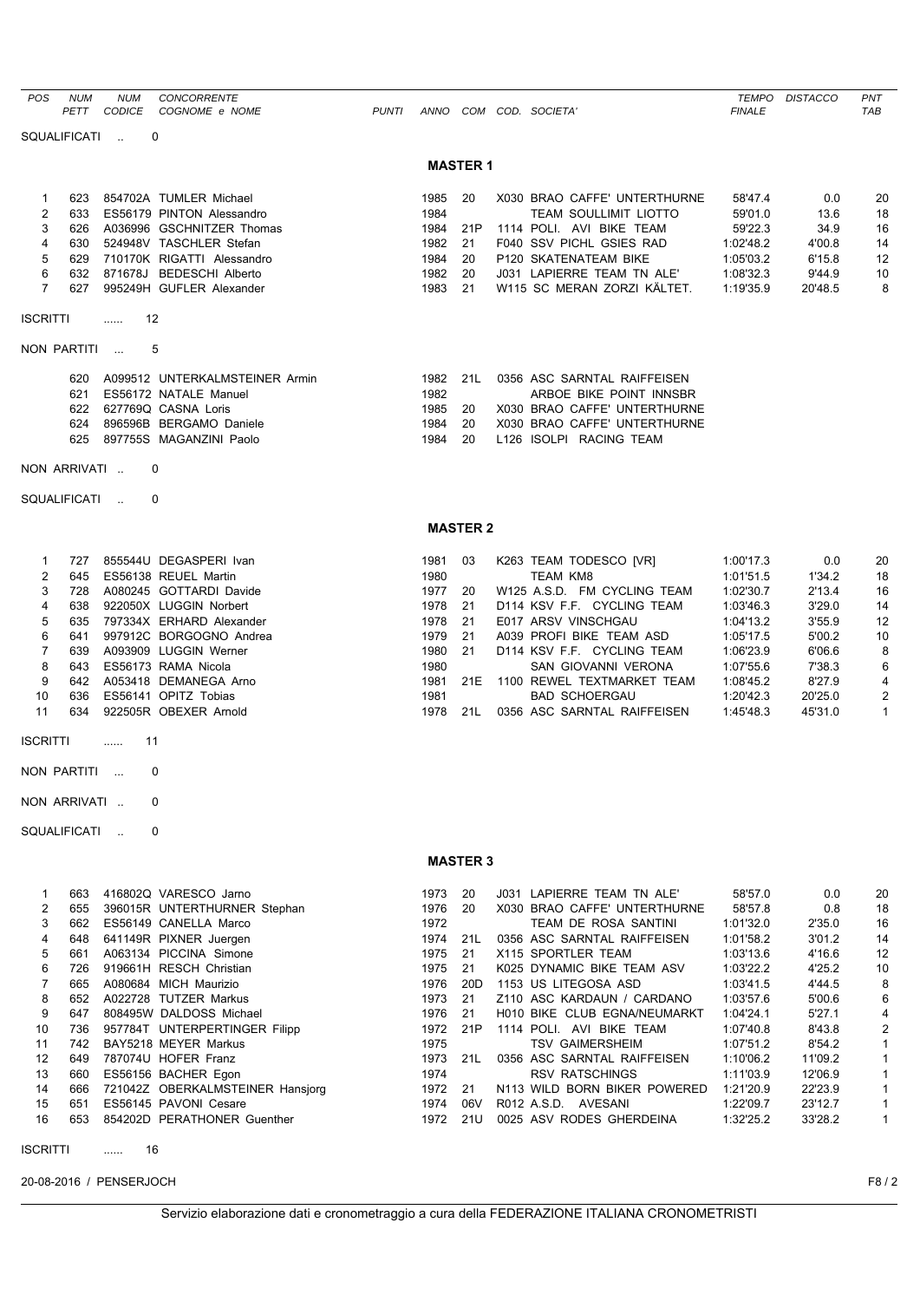| <b>POS</b>      | <b>NUM</b><br>PETT | <b>NUM</b><br><b>CODICE</b> | CONCORRENTE<br>COGNOME e NOME                                 | <b>PUNTI</b> |              |                 | ANNO COM COD. SOCIETA'                              | <b>FINALE</b>          | TEMPO DISTACCO     | PNT<br>TAB                   |
|-----------------|--------------------|-----------------------------|---------------------------------------------------------------|--------------|--------------|-----------------|-----------------------------------------------------|------------------------|--------------------|------------------------------|
|                 | SQUALIFICATI       | $\sim$                      | 0                                                             |              |              |                 |                                                     |                        |                    |                              |
|                 |                    |                             |                                                               |              |              | <b>MASTER 1</b> |                                                     |                        |                    |                              |
| 1               | 623                |                             | 854702A TUMLER Michael                                        |              | 1985         | 20              | X030 BRAO CAFFE' UNTERTHURNE                        | 58'47.4                | 0.0                | 20                           |
| 2               | 633                |                             | ES56179 PINTON Alessandro                                     |              | 1984         |                 | <b>TEAM SOULLIMIT LIOTTO</b>                        | 59'01.0                | 13.6               | 18                           |
| 3               | 626                |                             | A036996 GSCHNITZER Thomas                                     |              | 1984         | 21P             | 1114 POLI. AVI BIKE TEAM                            | 59'22.3                | 34.9               | 16                           |
| 4               | 630                |                             | 524948V TASCHLER Stefan<br>710170K RIGATTI Alessandro         |              | 1982         | 21              | F040 SSV PICHL GSIES RAD                            | 1:02'48.2              | 4'00.8<br>6'15.8   | 14                           |
| 5<br>6          | 629<br>632         |                             | 871678J BEDESCHI Alberto                                      |              | 1984<br>1982 | 20<br>20        | P120 SKATENATEAM BIKE<br>J031 LAPIERRE TEAM TN ALE' | 1:05'03.2<br>1:08'32.3 | 9'44.9             | 12<br>10                     |
| $\overline{7}$  | 627                |                             | 995249H GUFLER Alexander                                      |              | 1983         | 21              | W115 SC MERAN ZORZI KÄLTET.                         | 1:19'35.9              | 20'48.5            | 8                            |
| <b>ISCRITTI</b> |                    | 12<br>.                     |                                                               |              |              |                 |                                                     |                        |                    |                              |
|                 | NON PARTITI        |                             | 5                                                             |              |              |                 |                                                     |                        |                    |                              |
|                 | 620                |                             | A099512 UNTERKALMSTEINER Armin                                |              | 1982         | 21L             | 0356 ASC SARNTAL RAIFFEISEN                         |                        |                    |                              |
|                 | 621                |                             | ES56172 NATALE Manuel                                         |              | 1982         |                 | ARBOE BIKE POINT INNSBR                             |                        |                    |                              |
|                 |                    |                             | 622 627769Q CASNA Loris                                       |              | 1985         | 20              | X030 BRAO CAFFE' UNTERTHURNE                        |                        |                    |                              |
|                 | 624                |                             | 896596B BERGAMO Daniele                                       |              | 1984         | 20              | X030 BRAO CAFFE' UNTERTHURNE                        |                        |                    |                              |
|                 | 625                |                             | 897755S MAGANZINI Paolo                                       |              | 1984         | 20              | L126 ISOLPI RACING TEAM                             |                        |                    |                              |
|                 | NON ARRIVATI       |                             | 0                                                             |              |              |                 |                                                     |                        |                    |                              |
|                 | SQUALIFICATI       | $\sim$                      | 0                                                             |              |              |                 |                                                     |                        |                    |                              |
|                 |                    |                             |                                                               |              |              | <b>MASTER 2</b> |                                                     |                        |                    |                              |
| 1               | 727                |                             | 855544U DEGASPERI Ivan                                        |              | 1981         | 03              | K263 TEAM TODESCO [VR]                              | 1:00'17.3              | 0.0                | 20                           |
| 2               | 645                |                             | ES56138 REUEL Martin                                          |              | 1980         |                 | <b>TEAM KM8</b>                                     | 1:01'51.5              | 1'34.2             | 18                           |
| 3               | 728                |                             | A080245 GOTTARDI Davide                                       |              | 1977         | 20              | W125 A.S.D. FM CYCLING TEAM                         | 1:02'30.7              | 2'13.4             | 16                           |
| 4               | 638                |                             | 922050X LUGGIN Norbert                                        |              | 1978         | 21              | D114 KSV F.F. CYCLING TEAM                          | 1:03'46.3              | 3'29.0             | 14                           |
| 5               | 635                |                             | 797334X ERHARD Alexander                                      |              | 1978         | 21              | E017 ARSV VINSCHGAU                                 | 1:04'13.2              | 3'55.9             | 12                           |
| 6               | 641                |                             | 997912C BORGOGNO Andrea                                       |              | 1979         | 21              | A039 PROFI BIKE TEAM ASD                            | 1:05'17.5              | 5'00.2             | 10                           |
| $\overline{7}$  | 639                |                             | A093909 LUGGIN Werner<br>ES56173 RAMA Nicola                  |              | 1980         | 21              | D114 KSV F.F. CYCLING TEAM                          | 1:06'23.9              | 6'06.6             | 8                            |
| 8<br>9          | 643<br>642         |                             | A053418 DEMANEGA Arno                                         |              | 1980<br>1981 | 21E             | SAN GIOVANNI VERONA<br>1100 REWEL TEXTMARKET TEAM   | 1:07'55.6<br>1:08'45.2 | 7'38.3<br>8'27.9   | 6<br>4                       |
| 10              | 636                |                             | ES56141 OPITZ Tobias                                          |              | 1981         |                 | <b>BAD SCHOERGAU</b>                                | 1:20'42.3              | 20'25.0            | 2                            |
| 11              | 634                |                             | 922505R OBEXER Arnold                                         |              | 1978         | 21L             | 0356 ASC SARNTAL RAIFFEISEN                         | 1:45'48.3              | 45'31.0            | $\mathbf{1}$                 |
| <b>ISCRITTI</b> |                    | 11<br>.                     |                                                               |              |              |                 |                                                     |                        |                    |                              |
|                 | NON PARTITI        |                             | 0                                                             |              |              |                 |                                                     |                        |                    |                              |
|                 |                    |                             | 0                                                             |              |              |                 |                                                     |                        |                    |                              |
|                 | NON ARRIVATI       |                             |                                                               |              |              |                 |                                                     |                        |                    |                              |
|                 | SQUALIFICATI       | $\sim$                      | 0                                                             |              |              |                 |                                                     |                        |                    |                              |
|                 |                    |                             |                                                               |              |              | <b>MASTER 3</b> |                                                     |                        |                    |                              |
| 1               | 663                |                             | 416802Q VARESCO Jarno                                         |              | 1973         | 20              | J031 LAPIERRE TEAM TN ALE'                          | 58'57.0                | 0.0                | 20                           |
| 2               | 655                |                             | 396015R UNTERTHURNER Stephan                                  |              | 1976         | 20              | X030 BRAO CAFFE' UNTERTHURNE                        | 58'57.8                | 0.8                | 18                           |
| 3<br>4          | 662                |                             | ES56149 CANELLA Marco<br>641149R PIXNER Juergen               |              | 1972<br>1974 | 21L             | TEAM DE ROSA SANTINI<br>0356 ASC SARNTAL RAIFFEISEN | 1:01'32.0<br>1:01'58.2 | 2'35.0<br>3'01.2   | 16                           |
| 5               | 648<br>661         |                             | A063134 PICCINA Simone                                        |              | 1975         | 21              | X115 SPORTLER TEAM                                  | 1:03'13.6              | 4'16.6             | 14<br>12                     |
| 6               | 726                |                             | 919661H RESCH Christian                                       |              | 1975         | 21              | K025 DYNAMIC BIKE TEAM ASV                          | 1:03'22.2              | 4'25.2             | 10                           |
| 7               | 665                |                             | A080684 MICH Maurizio                                         |              | 1976         | 20 <sub>D</sub> | 1153 US LITEGOSA ASD                                | 1:03'41.5              | 4'44.5             | 8                            |
| 8               | 652                |                             | A022728 TUTZER Markus                                         |              | 1973         | 21              | Z110 ASC KARDAUN / CARDANO                          | 1:03'57.6              | 5'00.6             | 6                            |
| 9               | 647                |                             | 808495W DALDOSS Michael                                       |              | 1976         | 21              | H010 BIKE CLUB EGNA/NEUMARKT                        | 1:04'24.1              | 5'27.1             | 4                            |
| 10              | 736                |                             | 957784T UNTERPERTINGER Filipp                                 |              | 1972         | 21P             | 1114 POLI. AVI BIKE TEAM                            | 1:07'40.8              | 8'43.8             | $\overline{2}$               |
| 11              | 742                |                             | BAY5218 MEYER Markus                                          |              | 1975         |                 | <b>TSV GAIMERSHEIM</b>                              | 1:07'51.2              | 8'54.2             | $\mathbf{1}$                 |
| 12              | 649                |                             | 787074U HOFER Franz                                           |              | 1973         | 21L             | 0356 ASC SARNTAL RAIFFEISEN                         | 1:10'06.2              | 11'09.2            | $\mathbf{1}$                 |
| 13              | 660                |                             | ES56156 BACHER Egon                                           |              | 1974         |                 | <b>RSV RATSCHINGS</b>                               | 1:11'03.9              | 12'06.9            | 1                            |
| 14<br>15        | 666                |                             | 721042Z OBERKALMSTEINER Hansjorg<br>651 ES56145 PAVONI Cesare |              | 1972<br>1974 | 21<br>06V       | N113 WILD BORN BIKER POWERED<br>R012 A.S.D. AVESANI | 1:21'20.9<br>1:22'09.7 | 22'23.9<br>23'12.7 | $\mathbf{1}$<br>$\mathbf{1}$ |
| 16              |                    |                             | 653 854202D PERATHONER Guenther                               |              | 1972         | 21U             | 0025 ASV RODES GHERDEINA                            | 1:32'25.2              | 33'28.2            | $\mathbf{1}$                 |
|                 |                    |                             |                                                               |              |              |                 |                                                     |                        |                    |                              |

ISCRITTI ...... 16

20-08-2016 / PENSERJOCH F8 / 2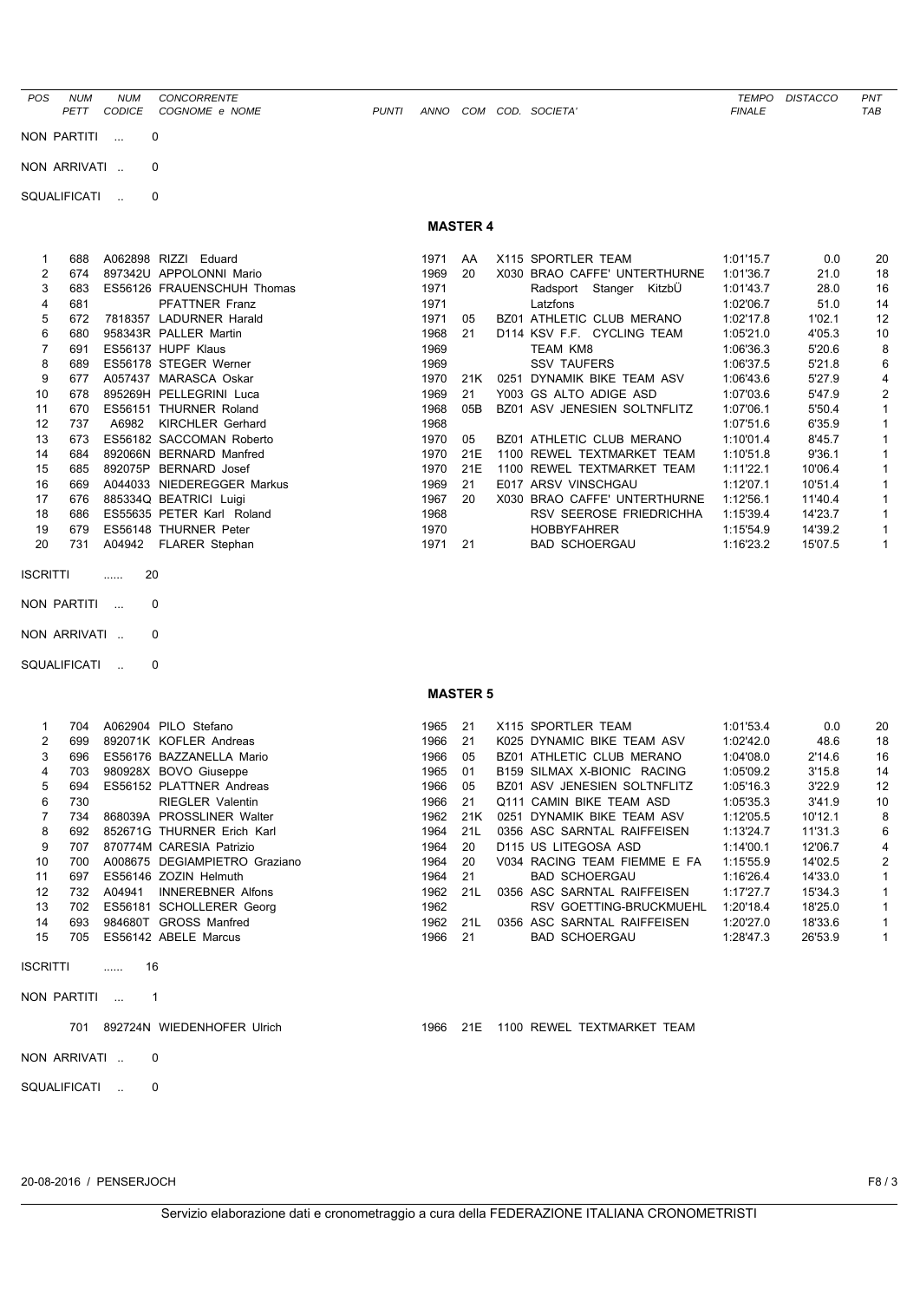*POS NUM NUM CONCORRENTE TEMPO DISTACCO PNT PETT CODICE COGNOME e NOME PUNTI ANNO COM COD. SOCIETA' FINALE TAB*

NON PARTITI ... 0

NON ARRIVATI .. 0

SQUALIFICATI .. 0

## **MASTER 4**

|    | 688 |         | A062898 RIZZI Eduard       | 1971 | AA  |      | X115 SPORTLER TEAM           | 1:01'15.7 | 0.0     | 20 |  |
|----|-----|---------|----------------------------|------|-----|------|------------------------------|-----------|---------|----|--|
| 2  | 674 |         | 897342U APPOLONNI Mario    | 1969 | 20  |      | X030 BRAO CAFFE' UNTERTHURNE | 1:01'36.7 | 21.0    | 18 |  |
| 3  | 683 |         | ES56126 FRAUENSCHUH Thomas | 1971 |     |      | Radsport Stanger KitzbÜ      | 1:01'43.7 | 28.0    | 16 |  |
| 4  | 681 |         | <b>PFATTNER Franz</b>      | 1971 |     |      | Latzfons                     | 1:02'06.7 | 51.0    | 14 |  |
| 5  | 672 |         | 7818357 LADURNER Harald    | 1971 | 05  |      | BZ01 ATHLETIC CLUB MERANO    | 1:02'17.8 | 1'02.1  | 12 |  |
| 6  | 680 |         | 958343R PALLER Martin      | 1968 | 21  |      | D114 KSV F.F. CYCLING TEAM   | 1:05'21.0 | 4'05.3  | 10 |  |
|    | 691 |         | ES56137 HUPF Klaus         | 1969 |     |      | TEAM KM8                     | 1:06'36.3 | 5'20.6  | 8  |  |
| 8  | 689 |         | ES56178 STEGER Werner      | 1969 |     |      | <b>SSV TAUFERS</b>           | 1:06'37.5 | 5'21.8  | 6  |  |
| 9  | 677 |         | A057437 MARASCA Oskar      | 1970 | 21K | 0251 | DYNAMIK BIKE TEAM ASV        | 1:06'43.6 | 5'27.9  | 4  |  |
| 10 | 678 |         | 895269H PELLEGRINI Luca    | 1969 | 21  |      | Y003 GS ALTO ADIGE ASD       | 1:07'03.6 | 5'47.9  | 2  |  |
| 11 | 670 |         | ES56151 THURNER Roland     | 1968 | 05B |      | BZ01 ASV JENESIEN SOLTNFLITZ | 1:07'06.1 | 5'50.4  |    |  |
| 12 | 737 | A6982   | KIRCHLER Gerhard           | 1968 |     |      |                              | 1:07'51.6 | 6'35.9  |    |  |
| 13 | 673 |         | ES56182 SACCOMAN Roberto   | 1970 | 05  |      | BZ01 ATHLETIC CLUB MERANO    | 1:10'01.4 | 8'45.7  |    |  |
| 14 | 684 |         | 892066N BERNARD Manfred    | 1970 | 21E |      | 1100 REWEL TEXTMARKET TEAM   | 1:10'51.8 | 9'36.1  |    |  |
| 15 | 685 | 892075P | <b>BERNARD</b> Josef       | 1970 | 21E |      | 1100 REWEL TEXTMARKET TEAM   | 1:11'22.1 | 10'06.4 |    |  |
| 16 | 669 |         | A044033 NIEDEREGGER Markus | 1969 | 21  |      | E017 ARSV VINSCHGAU          | 1:12'07.1 | 10'51.4 |    |  |
| 17 | 676 |         | 885334Q BEATRICI Luigi     | 1967 | 20  | X030 | BRAO CAFFE' UNTERTHURNE      | 1:12'56.1 | 11'40.4 |    |  |
| 18 | 686 |         | ES55635 PETER Karl Roland  | 1968 |     |      | RSV SEEROSE FRIEDRICHHA      | 1:15'39.4 | 14'23.7 |    |  |
| 19 | 679 |         | ES56148 THURNER Peter      | 1970 |     |      | <b>HOBBYFAHRER</b>           | 1:15'54.9 | 14'39.2 |    |  |
| 20 | 731 |         | A04942 FLARER Stephan      | 1971 | 21  |      | <b>BAD SCHOERGAU</b>         | 1:16'23.2 | 15'07.5 |    |  |
|    |     |         |                            |      |     |      |                              |           |         |    |  |

ISCRITTI ...... 20

NON PARTITI ... 0

NON ARRIVATI .. 0

SQUALIFICATI .. 0

| 1  | 704 |         | A062904 PILO Stefano       |
|----|-----|---------|----------------------------|
| 2  | 699 |         | 892071K KOFLER Andreas     |
| 3  | 696 | FS56176 | <b>BAZZANELLA Mario</b>    |
| 4  | 703 |         | 980928X BOVO Giuseppe      |
| 5  | 694 |         | ES56152 PLATTNER Andreas   |
| 6  | 730 |         | <b>RIFGI FR Valentin</b>   |
| 7  | 734 |         | 868039A PROSSLINER Walter  |
| 8  | 692 |         | 852671G THURNER Frich Karl |
| 9  | 707 |         | 870774M CARESIA Patrizio   |
| 10 | 700 | A008675 | <b>DEGIAMPIETRO Grazia</b> |
| 11 | 697 |         | ES56146 ZOZIN Helmuth      |
| 12 | 732 | A04941  | <b>INNEREBNER Alfons</b>   |
| 13 | 702 |         | ES56181 SCHOLLERER Georg   |
| 14 | 693 | 984680T | <b>GROSS Manfred</b>       |
| 15 | 705 |         | ES56142 ABELE Marcus       |

ISCRITTI ...... 16

NON PARTITI ... 1

NON ARRIVATI .. 0

SQUALIFICATI .. 0

**MASTER 5**

|                 | 704 |        | A062904 PILO Stefano          | 1965 | 21  | X115 SPORTLER TEAM                      | 1:01'53.4 | 0.0     | 20 |
|-----------------|-----|--------|-------------------------------|------|-----|-----------------------------------------|-----------|---------|----|
| $\mathcal{P}$   | 699 |        | 892071K KOFLER Andreas        | 1966 | -21 | K025 DYNAMIC BIKE TEAM ASV              | 1:02'42.0 | 48.6    | 18 |
| 3               | 696 |        | ES56176 BAZZANELLA Mario      | 1966 | 05  | BZ01 ATHLETIC CLUB MERANO               | 1:04'08.0 | 2'14.6  | 16 |
| 4               | 703 |        | 980928X BOVO Giuseppe         | 1965 | -01 | B <sub>159</sub> SILMAX X-BIONIC RACING | 1:05'09.2 | 3'15.8  | 14 |
| 5               | 694 |        | ES56152 PLATTNER Andreas      | 1966 | 05  | BZ01 ASV JENESIEN SOLTNFLITZ            | 1:05'16.3 | 3'22.9  | 12 |
| 6               | 730 |        | <b>RIEGLER Valentin</b>       | 1966 | 21  | Q111 CAMIN BIKE TEAM ASD                | 1:05'35.3 | 3'41.9  | 10 |
|                 | 734 |        | 868039A PROSSLINER Walter     | 1962 | 21K | 0251 DYNAMIK BIKE TEAM ASV              | 1:12'05.5 | 10'12.1 | 8  |
| 8               | 692 |        | 852671G THURNER Erich Karl    | 1964 | 21L | 0356 ASC SARNTAL RAIFFEISEN             | 1:13'24.7 | 11'31.3 | 6  |
| 9               | 707 |        | 870774M CARESIA Patrizio      | 1964 | 20  | D115 US LITEGOSA ASD                    | 1:14'00.1 | 12'06.7 | 4  |
| 10              | 700 |        | A008675 DEGIAMPIETRO Graziano | 1964 | 20  | V034 RACING TEAM FIEMME E FA            | 1:15'55.9 | 14'02.5 | 2  |
| 11              | 697 |        | ES56146 ZOZIN Helmuth         | 1964 | -21 | <b>BAD SCHOERGAU</b>                    | 1:16'26.4 | 14'33.0 | 1  |
| 12 <sup>2</sup> | 732 | A04941 | <b>INNEREBNER Alfons</b>      | 1962 | 21L | 0356 ASC SARNTAL RAIFFEISEN             | 1:17'27.7 | 15'34.3 |    |
| 13              | 702 |        | ES56181 SCHOLLERER Georg      | 1962 |     | RSV GOETTING-BRUCKMUEHL                 | 1:20'18.4 | 18'25.0 | 1  |
| 14              | 693 |        | 984680T GROSS Manfred         | 1962 | 21L | 0356 ASC SARNTAL RAIFFEISEN             | 1:20'27.0 | 18'33.6 |    |
| 15              | 705 |        | ES56142 ABELE Marcus          | 1966 | 21  | <b>BAD SCHOERGAU</b>                    | 1:28'47.3 | 26'53.9 |    |
|                 |     |        |                               |      |     |                                         |           |         |    |

701 892724N WIEDENHOFER Ulrich 1966 21E 1100 REWEL TEXTMARKET TEAM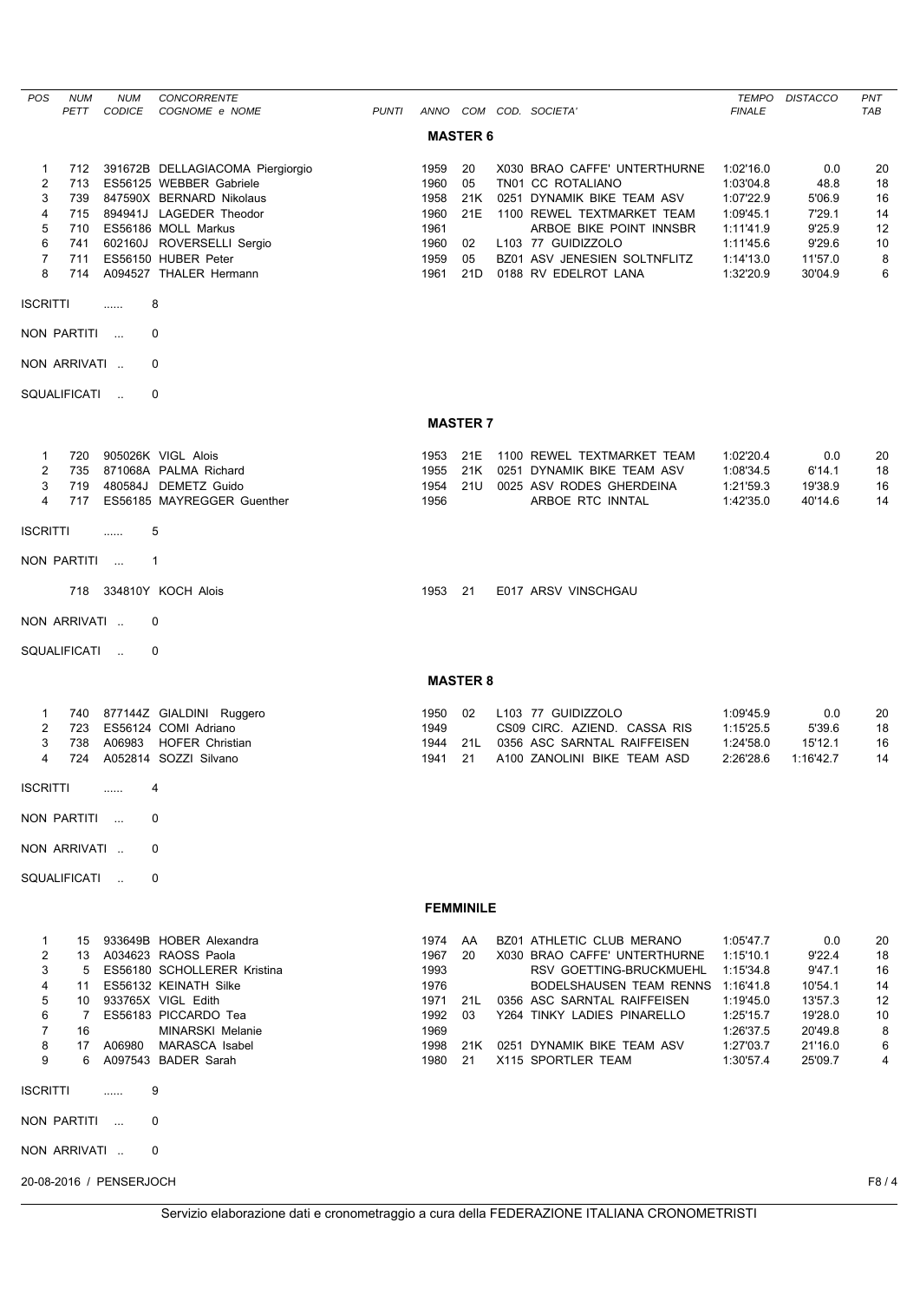| POS                     | <b>NUM</b>   | <b>NUM</b>              | CONCORRENTE                                         |              |              |                  |                                                            | <b>TEMPO</b>           | <b>DISTACCO</b>    | PNT        |
|-------------------------|--------------|-------------------------|-----------------------------------------------------|--------------|--------------|------------------|------------------------------------------------------------|------------------------|--------------------|------------|
|                         | PETT         | <b>CODICE</b>           | COGNOME e NOME                                      | <b>PUNTI</b> |              |                  | ANNO COM COD. SOCIETA'                                     | <b>FINALE</b>          |                    | <b>TAB</b> |
|                         |              |                         |                                                     |              |              | <b>MASTER 6</b>  |                                                            |                        |                    |            |
| $\mathbf{1}$            | 712          |                         | 391672B DELLAGIACOMA Piergiorgio                    |              | 1959         | 20               | X030 BRAO CAFFE' UNTERTHURNE                               | 1:02'16.0              | 0.0                | 20         |
| $\overline{\mathbf{c}}$ | 713          |                         | ES56125 WEBBER Gabriele                             |              | 1960         | 05               | TN01 CC ROTALIANO                                          | 1:03'04.8              | 48.8               | 18         |
| 3<br>4                  | 739<br>715   |                         | 847590X BERNARD Nikolaus<br>894941J LAGEDER Theodor |              | 1958<br>1960 | 21K<br>21E       | 0251 DYNAMIK BIKE TEAM ASV<br>1100 REWEL TEXTMARKET TEAM   | 1:07'22.9<br>1:09'45.1 | 5'06.9<br>7'29.1   | 16<br>14   |
| 5                       | 710          |                         | ES56186 MOLL Markus                                 |              | 1961         |                  | ARBOE BIKE POINT INNSBR                                    | 1:11'41.9              | 9'25.9             | 12         |
| 6                       | 741          |                         | 602160J ROVERSELLI Sergio                           |              | 1960         | 02               | L103 77 GUIDIZZOLO                                         | 1:11'45.6              | 9'29.6             | 10         |
| $\overline{7}$          | 711          |                         | ES56150 HUBER Peter                                 |              | 1959         | 05               | BZ01 ASV JENESIEN SOLTNFLITZ                               | 1:14'13.0              | 11'57.0            | 8          |
| 8                       | 714          |                         | A094527 THALER Hermann                              |              | 1961         | 21D              | 0188 RV EDELROT LANA                                       | 1:32'20.9              | 30'04.9            | 6          |
| <b>ISCRITTI</b>         |              | .                       | 8                                                   |              |              |                  |                                                            |                        |                    |            |
| NON PARTITI             |              |                         | $\mathbf 0$                                         |              |              |                  |                                                            |                        |                    |            |
|                         | NON ARRIVATI |                         | 0                                                   |              |              |                  |                                                            |                        |                    |            |
|                         | SQUALIFICATI | $\sim$                  | $\mathbf 0$                                         |              |              |                  |                                                            |                        |                    |            |
|                         |              |                         |                                                     |              |              | <b>MASTER 7</b>  |                                                            |                        |                    |            |
| 1                       | 720          |                         | 905026K VIGL Alois                                  |              | 1953         | 21E              | 1100 REWEL TEXTMARKET TEAM                                 | 1:02'20.4              | 0.0                | 20         |
| $\overline{2}$          | 735          |                         | 871068A PALMA Richard                               |              | 1955         | 21K              | 0251 DYNAMIK BIKE TEAM ASV                                 | 1:08'34.5              | 6'14.1             | 18         |
| 3                       | 719          |                         | 480584J DEMETZ Guido                                |              | 1954         | 21U              | 0025 ASV RODES GHERDEINA                                   | 1:21'59.3              | 19'38.9            | 16         |
| $\overline{4}$          | 717          |                         | ES56185 MAYREGGER Guenther                          |              | 1956         |                  | ARBOE RTC INNTAL                                           | 1:42'35.0              | 40'14.6            | 14         |
| <b>ISCRITTI</b>         |              | .                       | 5                                                   |              |              |                  |                                                            |                        |                    |            |
|                         | NON PARTITI  |                         | $\mathbf{1}$                                        |              |              |                  |                                                            |                        |                    |            |
|                         | 718          |                         | 334810Y KOCH Alois                                  |              | 1953 21      |                  | E017 ARSV VINSCHGAU                                        |                        |                    |            |
|                         | NON ARRIVATI |                         | $\mathbf 0$                                         |              |              |                  |                                                            |                        |                    |            |
|                         | SQUALIFICATI |                         | 0                                                   |              |              |                  |                                                            |                        |                    |            |
|                         |              |                         |                                                     |              |              | <b>MASTER 8</b>  |                                                            |                        |                    |            |
| $\mathbf{1}$            |              |                         | 740 877144Z GIALDINI Ruggero                        |              | 1950         | 02               | L103 77 GUIDIZZOLO                                         | 1:09'45.9              | 0.0                | 20         |
| $\overline{2}$          | 723          |                         | ES56124 COMI Adriano                                |              | 1949         |                  | CS09 CIRC. AZIEND. CASSA RIS                               | 1:15'25.5              | 5'39.6             | 18         |
| 3                       | 738          | A06983                  | <b>HOFER Christian</b>                              |              | 1944         | 21L              | 0356 ASC SARNTAL RAIFFEISEN                                | 1:24'58.0              | 15'12.1            | 16         |
| 4                       | 724          |                         | A052814 SOZZI Silvano                               |              | 1941         | 21               | A100 ZANOLINI BIKE TEAM ASD                                | 2:26'28.6              | 1:16'42.7          | 14         |
| <b>ISCRITTI</b>         |              |                         | 4                                                   |              |              |                  |                                                            |                        |                    |            |
|                         | NON PARTITI  | $\sim$                  | 0                                                   |              |              |                  |                                                            |                        |                    |            |
| NON ARRIVATI            |              |                         | 0                                                   |              |              |                  |                                                            |                        |                    |            |
|                         | SQUALIFICATI | $\sim$ $\sim$           | $\mathbf 0$                                         |              |              |                  |                                                            |                        |                    |            |
|                         |              |                         |                                                     |              |              | <b>FEMMINILE</b> |                                                            |                        |                    |            |
| $\mathbf{1}$            | 15           |                         | 933649B HOBER Alexandra                             |              | 1974         | AA               | BZ01 ATHLETIC CLUB MERANO                                  | 1:05'47.7              | 0.0                | 20         |
| $\overline{2}$          |              |                         | 13 A034623 RAOSS Paola                              |              | 1967         | 20               | X030 BRAO CAFFE' UNTERTHURNE                               | 1:15'10.1              | 9'22.4             | 18         |
| 3                       | 5            |                         | ES56180 SCHOLLERER Kristina                         |              | 1993         |                  | RSV GOETTING-BRUCKMUEHL                                    | 1:15'34.8              | 9'47.1             | 16         |
| 4                       | 11           |                         | ES56132 KEINATH Silke                               |              | 1976         |                  | <b>BODELSHAUSEN TEAM RENNS</b>                             | 1:16'41.8              | 10'54.1            | 14         |
| 5<br>6                  | 10<br>7      |                         | 933765X VIGL Edith<br>ES56183 PICCARDO Tea          |              | 1971<br>1992 | 21L<br>03        | 0356 ASC SARNTAL RAIFFEISEN<br>Y264 TINKY LADIES PINARELLO | 1:19'45.0<br>1:25'15.7 | 13'57.3<br>19'28.0 | 12<br>10   |
| $\overline{7}$          | 16           |                         | <b>MINARSKI Melanie</b>                             |              | 1969         |                  |                                                            | 1:26'37.5              | 20'49.8            | 8          |
| 8                       | 17           | A06980                  | MARASCA Isabel                                      |              | 1998         | 21K              | 0251 DYNAMIK BIKE TEAM ASV                                 | 1:27'03.7              | 21'16.0            | 6          |
| 9                       | 6            |                         | A097543 BADER Sarah                                 |              | 1980         | 21               | X115 SPORTLER TEAM                                         | 1:30'57.4              | 25'09.7            | 4          |
| <b>ISCRITTI</b>         |              |                         | 9                                                   |              |              |                  |                                                            |                        |                    |            |
|                         | NON PARTITI  | $\sim$                  | $\mathbf 0$                                         |              |              |                  |                                                            |                        |                    |            |
|                         | NON ARRIVATI |                         | 0                                                   |              |              |                  |                                                            |                        |                    |            |
|                         |              | 20-08-2016 / PENSERJOCH |                                                     |              |              |                  |                                                            |                        |                    | F8/4       |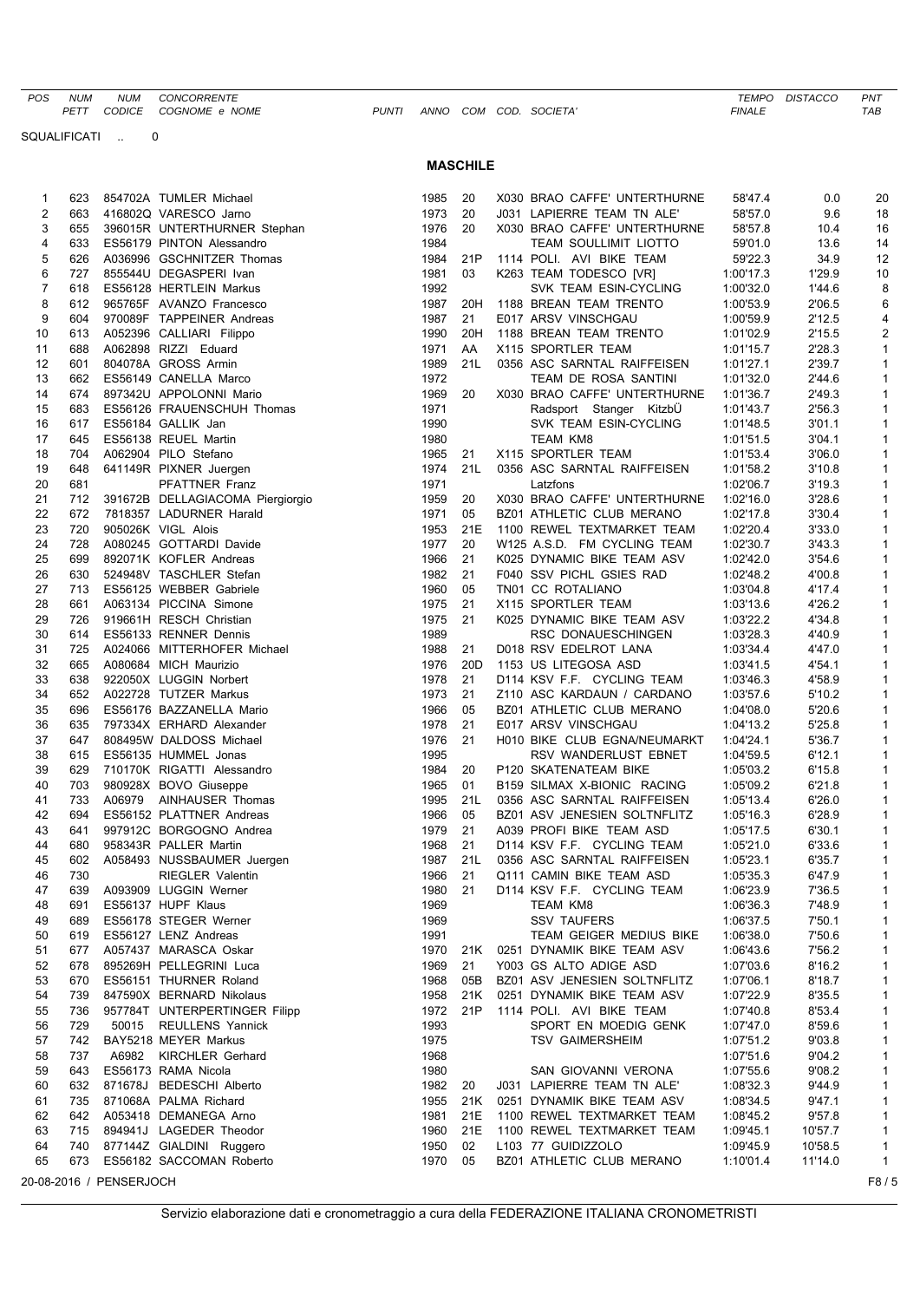*POS NUM NUM CONCORRENTE TEMPO DISTACCO PNT PETT CODICE COGNOME* e NOME

SQUALIFICATI .. 0

|  |  |  |  |  | UNTI ANNO COM COD. SOCIETA' |  |
|--|--|--|--|--|-----------------------------|--|
|--|--|--|--|--|-----------------------------|--|

## **MASCHILE**

| 1  | 623 |                         | 854702A TUMLER Michael           | 1985 | 20              | X030 BRAO CAFFE' UNTERTHURNE | 58'47.4   | 0.0     | 20             |
|----|-----|-------------------------|----------------------------------|------|-----------------|------------------------------|-----------|---------|----------------|
| 2  | 663 |                         | 416802Q VARESCO Jarno            | 1973 | 20              | J031 LAPIERRE TEAM TN ALE'   | 58'57.0   | 9.6     | 18             |
| 3  | 655 |                         | 396015R UNTERTHURNER Stephan     | 1976 | 20              | X030 BRAO CAFFE' UNTERTHURNE | 58'57.8   | 10.4    | 16             |
| 4  | 633 |                         | ES56179 PINTON Alessandro        | 1984 |                 | TEAM SOULLIMIT LIOTTO        | 59'01.0   | 13.6    | 14             |
| 5  | 626 |                         | A036996 GSCHNITZER Thomas        | 1984 | 21P             | 1114 POLI. AVI BIKE TEAM     | 59'22.3   | 34.9    | 12             |
| 6  | 727 |                         | 855544U DEGASPERI Ivan           | 1981 | 03              | K263 TEAM TODESCO [VR]       | 1:00'17.3 | 1'29.9  | 10             |
| 7  | 618 |                         | ES56128 HERTLEIN Markus          | 1992 |                 | SVK TEAM ESIN-CYCLING        | 1:00'32.0 | 1'44.6  | 8              |
| 8  | 612 |                         | 965765F AVANZO Francesco         | 1987 | 20H             | 1188 BREAN TEAM TRENTO       | 1:00'53.9 | 2'06.5  | 6              |
| 9  | 604 |                         | 970089F TAPPEINER Andreas        | 1987 | 21              | E017 ARSV VINSCHGAU          | 1:00'59.9 | 2'12.5  | 4              |
| 10 | 613 |                         | A052396 CALLIARI Filippo         | 1990 | 20H             | 1188 BREAN TEAM TRENTO       | 1:01'02.9 | 2'15.5  | $\overline{2}$ |
| 11 | 688 |                         | A062898 RIZZI Eduard             | 1971 | AA              | X115 SPORTLER TEAM           | 1:01'15.7 | 2'28.3  | $\mathbf{1}$   |
| 12 | 601 |                         | 804078A GROSS Armin              | 1989 | 21L             | 0356 ASC SARNTAL RAIFFEISEN  | 1:01'27.1 | 2'39.7  | 1              |
| 13 | 662 |                         | ES56149 CANELLA Marco            | 1972 |                 | TEAM DE ROSA SANTINI         | 1:01'32.0 | 2'44.6  | 1              |
| 14 | 674 |                         | 897342U APPOLONNI Mario          | 1969 | 20              | X030 BRAO CAFFE' UNTERTHURNE | 1:01'36.7 | 2'49.3  | 1              |
| 15 | 683 |                         | ES56126 FRAUENSCHUH Thomas       | 1971 |                 | Radsport Stanger KitzbU      | 1:01'43.7 | 2'56.3  | $\mathbf{1}$   |
| 16 | 617 |                         | ES56184 GALLIK Jan               | 1990 |                 | SVK TEAM ESIN-CYCLING        | 1:01'48.5 | 3'01.1  | $\mathbf{1}$   |
| 17 | 645 |                         | ES56138 REUEL Martin             | 1980 |                 | <b>TEAM KM8</b>              | 1:01'51.5 | 3'04.1  | 1              |
| 18 | 704 |                         | A062904 PILO Stefano             | 1965 | 21              | X115 SPORTLER TEAM           | 1:01'53.4 | 3'06.0  | 1              |
| 19 | 648 |                         | 641149R PIXNER Juergen           | 1974 | 21L             | 0356 ASC SARNTAL RAIFFEISEN  | 1:01'58.2 | 3'10.8  | 1              |
| 20 | 681 |                         | <b>PFATTNER Franz</b>            | 1971 |                 | Latzfons                     | 1:02'06.7 | 3'19.3  | $\mathbf{1}$   |
| 21 | 712 |                         | 391672B DELLAGIACOMA Piergiorgio | 1959 | 20              | X030 BRAO CAFFE' UNTERTHURNE | 1:02'16.0 | 3'28.6  | 1              |
| 22 | 672 |                         | 7818357 LADURNER Harald          | 1971 | 05              | BZ01 ATHLETIC CLUB MERANO    | 1:02'17.8 | 3'30.4  | 1              |
| 23 | 720 |                         | 905026K VIGL Alois               | 1953 | 21E             | 1100 REWEL TEXTMARKET TEAM   | 1:02'20.4 | 3'33.0  | $\mathbf{1}$   |
| 24 | 728 |                         | A080245 GOTTARDI Davide          | 1977 | 20              | W125 A.S.D. FM CYCLING TEAM  | 1:02'30.7 | 3'43.3  | $\mathbf{1}$   |
| 25 | 699 |                         |                                  | 1966 | 21              |                              |           | 3'54.6  | 1              |
|    |     |                         | 892071K KOFLER Andreas           |      |                 | K025 DYNAMIC BIKE TEAM ASV   | 1:02'42.0 |         |                |
| 26 | 630 |                         | 524948V TASCHLER Stefan          | 1982 | 21              | F040 SSV PICHL GSIES RAD     | 1:02'48.2 | 4'00.8  | 1              |
| 27 | 713 |                         | ES56125 WEBBER Gabriele          | 1960 | 05              | TN01 CC ROTALIANO            | 1:03'04.8 | 4'17.4  | 1              |
| 28 | 661 |                         | A063134 PICCINA Simone           | 1975 | 21              | X115 SPORTLER TEAM           | 1:03'13.6 | 4'26.2  | 1              |
| 29 | 726 |                         | 919661H RESCH Christian          | 1975 | 21              | K025 DYNAMIC BIKE TEAM ASV   | 1:03'22.2 | 4'34.8  | 1              |
| 30 | 614 |                         | ES56133 RENNER Dennis            | 1989 |                 | RSC DONAUESCHINGEN           | 1:03'28.3 | 4'40.9  | 1              |
| 31 | 725 |                         | A024066 MITTERHOFER Michael      | 1988 | 21              | D018 RSV EDELROT LANA        | 1:03'34.4 | 4'47.0  | $\mathbf{1}$   |
| 32 | 665 |                         | A080684 MICH Maurizio            | 1976 | 20 <sub>D</sub> | 1153 US LITEGOSA ASD         | 1:03'41.5 | 4'54.1  | 1              |
| 33 | 638 |                         | 922050X LUGGIN Norbert           | 1978 | 21              | D114 KSV F.F. CYCLING TEAM   | 1:03'46.3 | 4'58.9  | 1              |
| 34 | 652 |                         | A022728 TUTZER Markus            | 1973 | 21              | Z110 ASC KARDAUN / CARDANO   | 1:03'57.6 | 5'10.2  | 1              |
| 35 | 696 |                         | ES56176 BAZZANELLA Mario         | 1966 | 05              | BZ01 ATHLETIC CLUB MERANO    | 1:04'08.0 | 5'20.6  | 1              |
| 36 | 635 |                         | 797334X ERHARD Alexander         | 1978 | 21              | E017 ARSV VINSCHGAU          | 1:04'13.2 | 5'25.8  | $\mathbf{1}$   |
| 37 | 647 |                         | 808495W DALDOSS Michael          | 1976 | 21              | H010 BIKE CLUB EGNA/NEUMARKT | 1:04'24.1 | 5'36.7  | 1              |
| 38 | 615 |                         | ES56135 HUMMEL Jonas             | 1995 |                 | RSV WANDERLUST EBNET         | 1:04'59.5 | 6'12.1  | 1              |
| 39 | 629 |                         | 710170K RIGATTI Alessandro       | 1984 | 20              | P120 SKATENATEAM BIKE        | 1:05'03.2 | 6'15.8  | $\mathbf{1}$   |
| 40 | 703 |                         | 980928X BOVO Giuseppe            | 1965 | 01              | B159 SILMAX X-BIONIC RACING  | 1:05'09.2 | 6'21.8  | $\mathbf{1}$   |
| 41 | 733 |                         | A06979 AINHAUSER Thomas          | 1995 | 21L             | 0356 ASC SARNTAL RAIFFEISEN  | 1:05'13.4 | 6'26.0  | 1              |
| 42 | 694 |                         | ES56152 PLATTNER Andreas         | 1966 | 05              | BZ01 ASV JENESIEN SOLTNFLITZ | 1:05'16.3 | 6'28.9  | 1              |
| 43 | 641 |                         | 997912C BORGOGNO Andrea          | 1979 | 21              | A039 PROFI BIKE TEAM ASD     | 1:05'17.5 | 6'30.1  | 1              |
| 44 | 680 |                         | 958343R PALLER Martin            | 1968 | 21              | D114 KSV F.F. CYCLING TEAM   | 1:05'21.0 | 6'33.6  | $\mathbf{1}$   |
| 45 | 602 |                         | A058493 NUSSBAUMER Juergen       | 1987 | 21L             | 0356 ASC SARNTAL RAIFFEISEN  | 1:05'23.1 | 6'35.7  | $\mathbf{1}$   |
| 46 | 730 |                         | <b>RIEGLER Valentin</b>          | 1966 | 21              | Q111 CAMIN BIKE TEAM ASD     | 1:05'35.3 | 6'47.9  | 1              |
| 47 | 639 |                         | A093909 LUGGIN Werner            | 1980 | 21              | D114 KSV F.F. CYCLING TEAM   | 1:06'23.9 | 7'36.5  | 1              |
| 48 | 691 |                         | ES56137 HUPF Klaus               | 1969 |                 | <b>TEAM KM8</b>              | 1:06'36.3 | 7'48.9  | 1              |
| 49 | 689 |                         | ES56178 STEGER Werner            | 1969 |                 | <b>SSV TAUFERS</b>           | 1:06'37.5 | 7'50.1  | 1              |
| 50 | 619 |                         | ES56127 LENZ Andreas             | 1991 |                 | TEAM GEIGER MEDIUS BIKE      | 1:06'38.0 | 7'50.6  | 1              |
| 51 | 677 |                         | A057437 MARASCA Oskar            | 1970 | 21K             | 0251 DYNAMIK BIKE TEAM ASV   | 1:06'43.6 | 7'56.2  | 1              |
| 52 | 678 |                         | 895269H PELLEGRINI Luca          | 1969 | 21              | Y003 GS ALTO ADIGE ASD       | 1:07'03.6 | 8'16.2  | 1              |
| 53 | 670 |                         | ES56151 THURNER Roland           | 1968 | 05B             | BZ01 ASV JENESIEN SOLTNFLITZ | 1:07'06.1 | 8'18.7  | 1              |
| 54 | 739 |                         | 847590X BERNARD Nikolaus         | 1958 | 21K             | 0251 DYNAMIK BIKE TEAM ASV   | 1:07'22.9 | 8'35.5  | 1              |
| 55 | 736 |                         | 957784T UNTERPERTINGER Filipp    | 1972 | 21P             | 1114 POLI. AVI BIKE TEAM     | 1:07'40.8 | 8'53.4  | 1              |
| 56 | 729 |                         | 50015 REULLENS Yannick           | 1993 |                 | SPORT EN MOEDIG GENK         | 1:07'47.0 | 8'59.6  | 1              |
| 57 | 742 |                         | BAY5218 MEYER Markus             | 1975 |                 | <b>TSV GAIMERSHEIM</b>       | 1:07'51.2 | 9'03.8  | 1              |
| 58 | 737 | A6982                   | <b>KIRCHLER Gerhard</b>          | 1968 |                 |                              | 1:07'51.6 | 9'04.2  | 1              |
| 59 | 643 |                         | ES56173 RAMA Nicola              | 1980 |                 | SAN GIOVANNI VERONA          | 1:07'55.6 | 9'08.2  | 1              |
| 60 | 632 |                         | 871678J BEDESCHI Alberto         | 1982 | 20              | J031 LAPIERRE TEAM TN ALE'   | 1:08'32.3 | 9'44.9  | 1              |
| 61 | 735 |                         | 871068A PALMA Richard            | 1955 | 21K             | 0251 DYNAMIK BIKE TEAM ASV   | 1:08'34.5 | 9'47.1  | 1              |
| 62 | 642 |                         | A053418 DEMANEGA Arno            | 1981 | 21E             | 1100 REWEL TEXTMARKET TEAM   | 1:08'45.2 | 9'57.8  | 1              |
| 63 | 715 |                         | 894941J LAGEDER Theodor          | 1960 | 21E             | 1100 REWEL TEXTMARKET TEAM   | 1:09'45.1 | 10'57.7 | 1              |
| 64 | 740 |                         | 877144Z GIALDINI Ruggero         | 1950 | 02              | L103 77 GUIDIZZOLO           | 1:09'45.9 | 10'58.5 | $\mathbf{1}$   |
| 65 | 673 |                         | ES56182 SACCOMAN Roberto         | 1970 | 05              | BZ01 ATHLETIC CLUB MERANO    | 1:10'01.4 | 11'14.0 | $\mathbf{1}$   |
|    |     |                         |                                  |      |                 |                              |           |         |                |
|    |     | 20-08-2016 / PENSERJOCH |                                  |      |                 |                              |           |         | F8/5           |